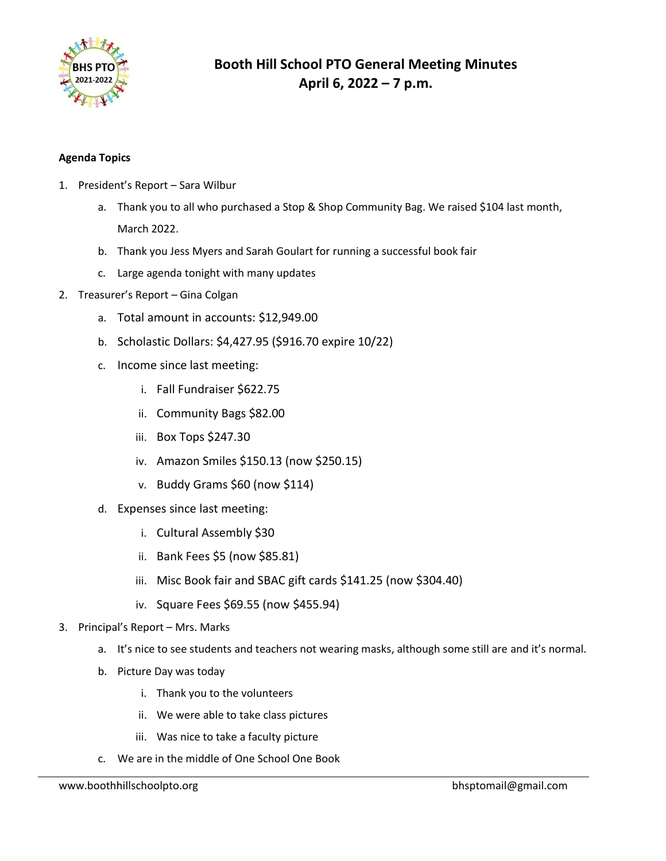

#### **Agenda Topics**

- 1. President's Report Sara Wilbur
	- a. Thank you to all who purchased a Stop & Shop Community Bag. We raised \$104 last month, March 2022.
	- b. Thank you Jess Myers and Sarah Goulart for running a successful book fair
	- c. Large agenda tonight with many updates
- 2. Treasurer's Report Gina Colgan
	- a. Total amount in accounts: \$12,949.00
	- b. Scholastic Dollars: \$4,427.95 (\$916.70 expire 10/22)
	- c. Income since last meeting:
		- i. Fall Fundraiser \$622.75
		- ii. Community Bags \$82.00
		- iii. Box Tops \$247.30
		- iv. Amazon Smiles \$150.13 (now \$250.15)
		- v. Buddy Grams \$60 (now \$114)
	- d. Expenses since last meeting:
		- i. Cultural Assembly \$30
		- ii. Bank Fees \$5 (now \$85.81)
		- iii. Misc Book fair and SBAC gift cards \$141.25 (now \$304.40)
		- iv. Square Fees \$69.55 (now \$455.94)
- 3. Principal's Report Mrs. Marks
	- a. It's nice to see students and teachers not wearing masks, although some still are and it's normal.
	- b. Picture Day was today
		- i. Thank you to the volunteers
		- ii. We were able to take class pictures
		- iii. Was nice to take a faculty picture
	- c. We are in the middle of One School One Book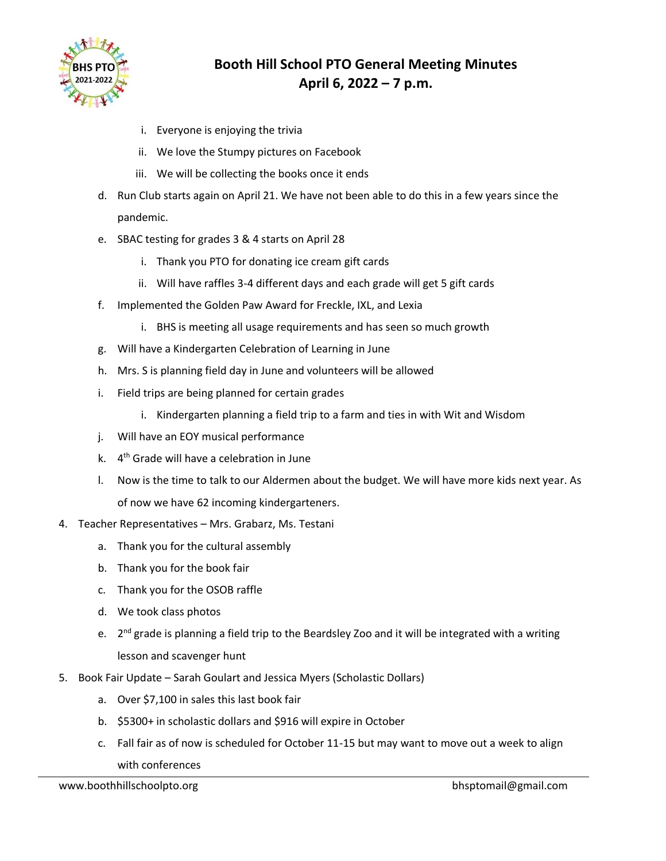

- i. Everyone is enjoying the trivia
- ii. We love the Stumpy pictures on Facebook
- iii. We will be collecting the books once it ends
- d. Run Club starts again on April 21. We have not been able to do this in a few years since the pandemic.
- e. SBAC testing for grades 3 & 4 starts on April 28
	- i. Thank you PTO for donating ice cream gift cards
	- ii. Will have raffles 3-4 different days and each grade will get 5 gift cards
- f. Implemented the Golden Paw Award for Freckle, IXL, and Lexia
	- i. BHS is meeting all usage requirements and has seen so much growth
- g. Will have a Kindergarten Celebration of Learning in June
- h. Mrs. S is planning field day in June and volunteers will be allowed
- i. Field trips are being planned for certain grades
	- i. Kindergarten planning a field trip to a farm and ties in with Wit and Wisdom
- j. Will have an EOY musical performance
- k. 4<sup>th</sup> Grade will have a celebration in June
- l. Now is the time to talk to our Aldermen about the budget. We will have more kids next year. As of now we have 62 incoming kindergarteners.
- 4. Teacher Representatives Mrs. Grabarz, Ms. Testani
	- a. Thank you for the cultural assembly
	- b. Thank you for the book fair
	- c. Thank you for the OSOB raffle
	- d. We took class photos
	- e. 2<sup>nd</sup> grade is planning a field trip to the Beardsley Zoo and it will be integrated with a writing lesson and scavenger hunt
- 5. Book Fair Update Sarah Goulart and Jessica Myers (Scholastic Dollars)
	- a. Over \$7,100 in sales this last book fair
	- b. \$5300+ in scholastic dollars and \$916 will expire in October
	- c. Fall fair as of now is scheduled for October 11-15 but may want to move out a week to align with conferences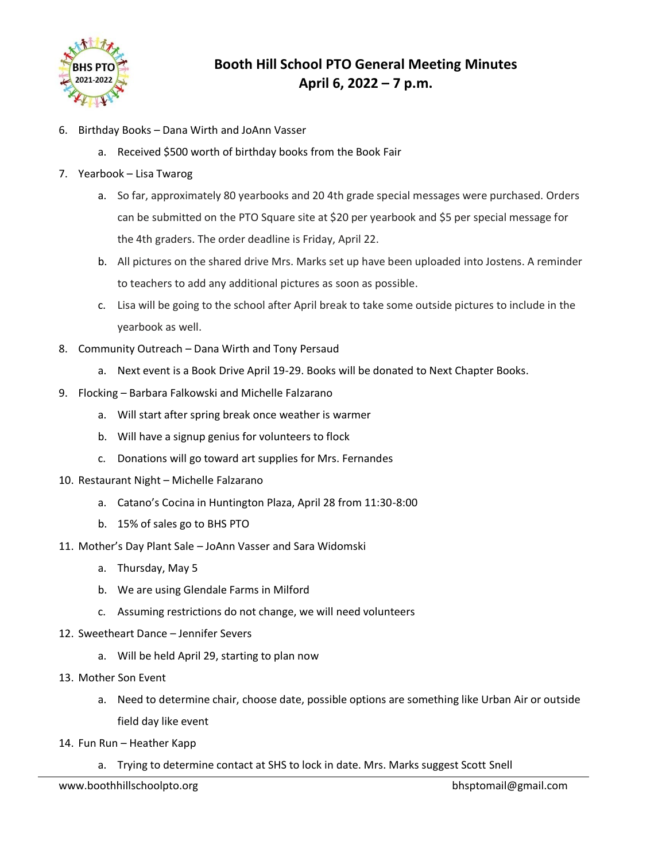

- 6. Birthday Books Dana Wirth and JoAnn Vasser
	- a. Received \$500 worth of birthday books from the Book Fair
- 7. Yearbook Lisa Twarog
	- a. So far, approximately 80 yearbooks and 20 4th grade special messages were purchased. Orders can be submitted on the PTO Square site at \$20 per yearbook and \$5 per special message for the 4th graders. The order deadline is Friday, April 22.
	- b. All pictures on the shared drive Mrs. Marks set up have been uploaded into Jostens. A reminder to teachers to add any additional pictures as soon as possible.
	- c. Lisa will be going to the school after April break to take some outside pictures to include in the yearbook as well.
- 8. Community Outreach Dana Wirth and Tony Persaud
	- a. Next event is a Book Drive April 19-29. Books will be donated to Next Chapter Books.
- 9. Flocking Barbara Falkowski and Michelle Falzarano
	- a. Will start after spring break once weather is warmer
	- b. Will have a signup genius for volunteers to flock
	- c. Donations will go toward art supplies for Mrs. Fernandes
- 10. Restaurant Night Michelle Falzarano
	- a. Catano's Cocina in Huntington Plaza, April 28 from 11:30-8:00
	- b. 15% of sales go to BHS PTO
- 11. Mother's Day Plant Sale JoAnn Vasser and Sara Widomski
	- a. Thursday, May 5
	- b. We are using Glendale Farms in Milford
	- c. Assuming restrictions do not change, we will need volunteers
- 12. Sweetheart Dance Jennifer Severs
	- a. Will be held April 29, starting to plan now
- 13. Mother Son Event
	- a. Need to determine chair, choose date, possible options are something like Urban Air or outside field day like event
- 14. Fun Run Heather Kapp
	- a. Trying to determine contact at SHS to lock in date. Mrs. Marks suggest Scott Snell